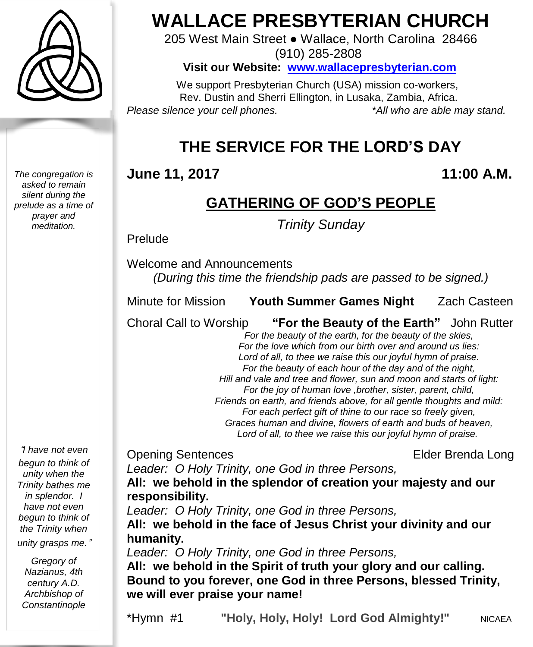

*The congregation is asked to remain silent during the prelude as a time of prayer and meditation.*

# **WALLACE PRESBYTERIAN CHURCH**

205 West Main Street ● Wallace, North Carolina 28466 (910) 285-2808

**Visit our Website: [www.wallacepresbyterian.com](http://www.wallacepresbyterian.com/)**

 We support Presbyterian Church (USA) mission co-workers, Rev. Dustin and Sherri Ellington, in Lusaka, Zambia, Africa. *Please silence your cell phones. \*All who are able may stand.*

# **THE SERVICE FOR THE LORD'S DAY**

#### **June 11, 2017 11:00 A.M.**

# **GATHERING OF GOD'S PEOPLE**

*Trinity Sunday*

Prelude

Welcome and Announcements *(During this time the friendship pads are passed to be signed.)*

Minute for Mission **Youth Summer Games Night** Zach Casteen

Choral Call to Worship **"For the Beauty of the Earth"** John Rutter

 *For the beauty of the earth, for the beauty of the skies, For the love which from our birth over and around us lies: Lord of all, to thee we raise this our joyful hymn of praise. For the beauty of each hour of the day and of the night, Hill and vale and tree and flower, sun and moon and starts of light: For the joy of human love ,brother, sister, parent, child, Friends on earth, and friends above, for all gentle thoughts and mild: For each perfect gift of thine to our race so freely given, Graces human and divine, flowers of earth and buds of heaven, Lord of all, to thee we raise this our joyful hymn of praise.*

*Leader: O Holy Trinity, one God in three Persons,*

**Opening Sentences Elder Brenda Long** 

"*I have not even begun to think of unity when the Trinity bathes me in splendor. I have not even begun to think of the Trinity when unity grasps me.*"

*Gregory of Nazianus, 4th century A.D. Archbishop of Constantinople*

**All: we behold in the splendor of creation your majesty and our responsibility.** *Leader: O Holy Trinity, one God in three Persons,*

**All: we behold in the face of Jesus Christ your divinity and our humanity.**

*Leader: O Holy Trinity, one God in three Persons,*

**All: we behold in the Spirit of truth your glory and our calling. Bound to you forever, one God in three Persons, blessed Trinity, we will ever praise your name!**

\*Hymn #1 **"Holy, Holy, Holy! Lord God Almighty!"** NICAEA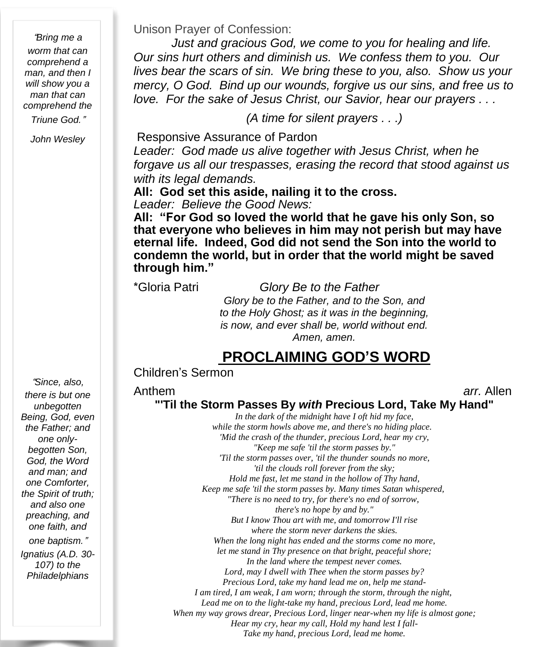"*Bring me a worm that can comprehend a man, and then I will show you a man that can comprehend the Triune God.*"

*John Wesley*

Unison Prayer of Confession:

*Just and gracious God, we come to you for healing and life. Our sins hurt others and diminish us. We confess them to you. Our lives bear the scars of sin. We bring these to you, also. Show us your mercy, O God. Bind up our wounds, forgive us our sins, and free us to love. For the sake of Jesus Christ, our Savior, hear our prayers . . .*

*(A time for silent prayers . . .)*

Responsive Assurance of Pardon

*Leader: God made us alive together with Jesus Christ, when he forgave us all our trespasses, erasing the record that stood against us with its legal demands.*

**All: God set this aside, nailing it to the cross.** 

*Leader: Believe the Good News:*

**All: "For God so loved the world that he gave his only Son, so that everyone who believes in him may not perish but may have eternal life. Indeed, God did not send the Son into the world to condemn the world, but in order that the world might be saved through him."**

\*Gloria Patri *Glory Be to the Father Glory be to the Father, and to the Son, and to the Holy Ghost; as it was in the beginning, is now, and ever shall be, world without end. Amen, amen.*

#### **PROCLAIMING GOD'S WORD**

#### Children's Sermon

Anthem *arr.* Allen

**"'Til the Storm Passes By** *with* **Precious Lord, Take My Hand"** 

*In the dark of the midnight have I oft hid my face, while the storm howls above me, and there's no hiding place. 'Mid the crash of the thunder, precious Lord, hear my cry, "Keep me safe 'til the storm passes by." 'Til the storm passes over, 'til the thunder sounds no more, 'til the clouds roll forever from the sky; Hold me fast, let me stand in the hollow of Thy hand, Keep me safe 'til the storm passes by. Many times Satan whispered, "There is no need to try, for there's no end of sorrow, there's no hope by and by." But I know Thou art with me, and tomorrow I'll rise where the storm never darkens the skies. When the long night has ended and the storms come no more, let me stand in Thy presence on that bright, peaceful shore; In the land where the tempest never comes. Lord, may I dwell with Thee when the storm passes by? Precious Lord, take my hand lead me on, help me stand-I am tired, I am weak, I am worn; through the storm, through the night, Lead me on to the light-take my hand, precious Lord, lead me home. When my way grows drear, Precious Lord, linger near-when my life is almost gone; Hear my cry, hear my call, Hold my hand lest I fall-Take my hand, precious Lord, lead me home.*

"*Since, also, there is but one unbegotten Being, God, even the Father; and one onlybegotten Son, God, the Word and man; and one Comforter, the Spirit of truth; and also one preaching, and one faith, and one baptism.*" *Ignatius (A.D. 30- 107) to the Philadelphians*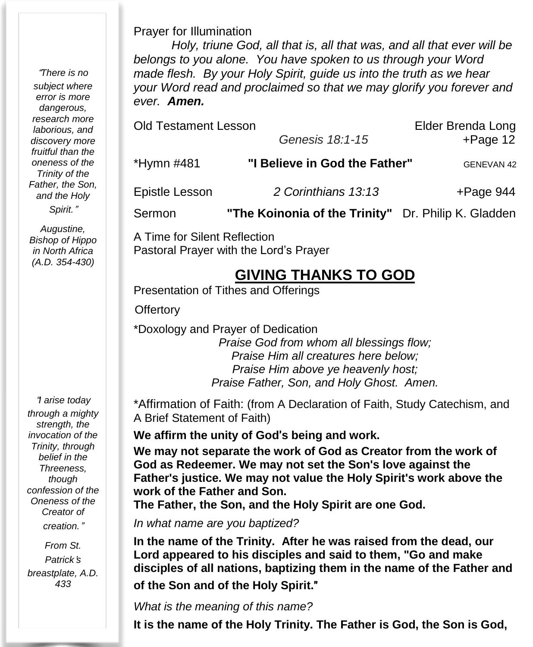"*There is no subject where error is more dangerous, research more laborious, and discovery more fruitful than the oneness of the Trinity of the Father, the Son, and the Holy Spirit.*"

*Augustine, Bishop of Hippo in North Africa (A.D. 354-430)*

"*I arise today through a mighty strength, the invocation of the Trinity, through belief in the Threeness, though confession of the Oneness of the Creator of creation.*"

*From St. Patrick*'*s breastplate, A.D. 433*

#### Prayer for Illumination

*Holy, triune God, all that is, all that was, and all that ever will be belongs to you alone. You have spoken to us through your Word made flesh. By your Holy Spirit, guide us into the truth as we hear your Word read and proclaimed so that we may glorify you forever and ever. Amen.*

| <b>Old Testament Lesson</b> | Elder Brenda Long                                   |                   |
|-----------------------------|-----------------------------------------------------|-------------------|
|                             | Genesis 18:1-15                                     | $+Page 12$        |
| *Hymn #481                  | "I Believe in God the Father"                       | <b>GENEVAN 42</b> |
| Epistle Lesson              | 2 Corinthians 13:13                                 | $+$ Page 944      |
| Sermon                      | "The Koinonia of the Trinity" Dr. Philip K. Gladden |                   |

A Time for Silent Reflection Pastoral Prayer with the Lord's Prayer

#### **GIVING THANKS TO GOD**

Presentation of Tithes and Offerings

**Offertory** 

\*Doxology and Prayer of Dedication *Praise God from whom all blessings flow; Praise Him all creatures here below; Praise Him above ye heavenly host; Praise Father, Son, and Holy Ghost. Amen.*

\*Affirmation of Faith: (from A Declaration of Faith, Study Catechism, and A Brief Statement of Faith)

**We affirm the unity of God**'**s being and work.**

**We may not separate the work of God as Creator from the work of God as Redeemer. We may not set the Son's love against the Father's justice. We may not value the Holy Spirit's work above the work of the Father and Son.**

**The Father, the Son, and the Holy Spirit are one God.**

*In what name are you baptized?*

**In the name of the Trinity. After he was raised from the dead, our Lord appeared to his disciples and said to them, "Go and make disciples of all nations, baptizing them in the name of the Father and of the Son and of the Holy Spirit.**"

*What is the meaning of this name?*

**It is the name of the Holy Trinity. The Father is God, the Son is God,**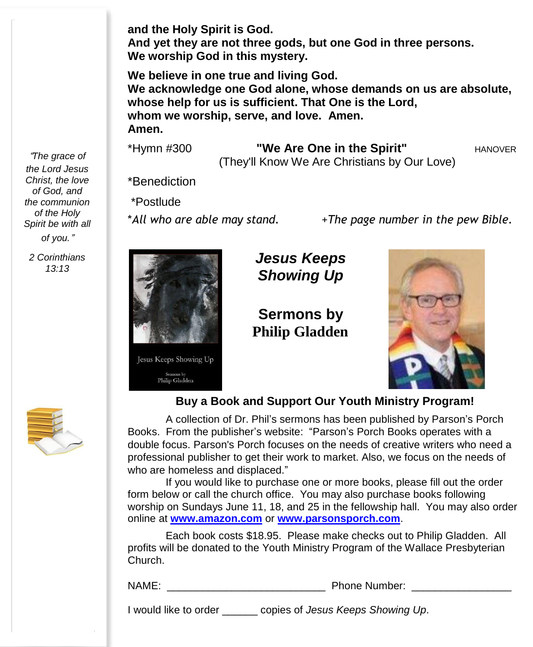**and the Holy Spirit is God.**

**And yet they are not three gods, but one God in three persons. We worship God in this mystery.**

**We believe in one true and living God. We acknowledge one God alone, whose demands on us are absolute, whose help for us is sufficient. That One is the Lord, whom we worship, serve, and love. Amen. Amen.**

\*Hymn #300 **"We Are One in the Spirit"** HANOVER (They'll Know We Are Christians by Our Love)

\*Benediction

\*Postlude

\**All who are able may stand.* +*The page number in the pew Bible.*



Sermons by<br>Philip Gladden

*Jesus Keeps Showing Up*

**Sermons by Philip Gladden**



#### **Buy a Book and Support Our Youth Ministry Program!**

A collection of Dr. Phil's sermons has been published by Parson's Porch Books. From the publisher's website: "Parson's Porch Books operates with a double focus. Parson's Porch focuses on the needs of creative writers who need a professional publisher to get their work to market. Also, we focus on the needs of who are homeless and displaced."

If you would like to purchase one or more books, please fill out the order form below or call the church office. You may also purchase books following worship on Sundays June 11, 18, and 25 in the fellowship hall. You may also order online at **[www.amazon.com](http://www.amazon.com/)** or **[www.parsonsporch.com](http://www.parsonsporch.com/)**.

Each book costs \$18.95. Please make checks out to Philip Gladden. All profits will be donated to the Youth Ministry Program of the Wallace Presbyterian Church.

NAME: The contract of the contract of the Phone Number:

I would like to order \_\_\_\_\_\_ copies of *Jesus Keeps Showing Up*.

"*The grace of the Lord Jesus Christ, the love of God, and the communion of the Holy Spirit be with all of you.*"

*2 Corinthians 13:13*

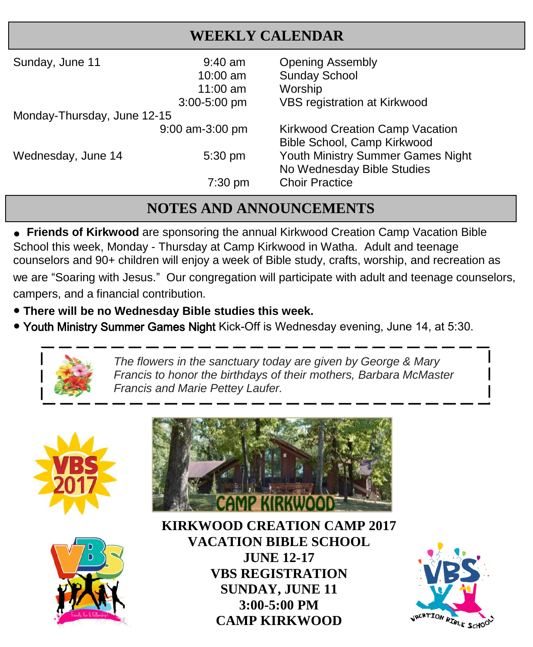#### **WEEKLY CALENDAR**

| Sunday, June 11             | $9:40$ am<br>$10:00$ am<br>11:00 $am$<br>3:00-5:00 pm | <b>Opening Assembly</b><br><b>Sunday School</b><br>Worship<br>VBS registration at Kirkwood |
|-----------------------------|-------------------------------------------------------|--------------------------------------------------------------------------------------------|
| Monday-Thursday, June 12-15 |                                                       |                                                                                            |
|                             | $9:00$ am-3:00 pm                                     | Kirkwood Creation Camp Vacation<br>Bible School, Camp Kirkwood                             |
| Wednesday, June 14          | $5:30$ pm                                             | Youth Ministry Summer Games Night<br>No Wednesday Bible Studies                            |
|                             | $7:30$ pm                                             | <b>Choir Practice</b>                                                                      |

### **NOTES AND ANNOUNCEMENTS**

**e** Friends of Kirkwood are sponsoring the annual Kirkwood Creation Camp Vacation Bible School this week, Monday - Thursday at Camp Kirkwood in Watha. Adult and teenage counselors and 90+ children will enjoy a week of Bible study, crafts, worship, and recreation as we are "Soaring with Jesus." Our congregation will participate with adult and teenage counselors, campers, and a financial contribution.

- **There will be no Wednesday Bible studies this week.**
- Youth Ministry Summer Games Night Kick-Off is Wednesday evening, June 14, at 5:30.



*The flowers in the sanctuary today are given by George & Mary Francis to honor the birthdays of their mothers, Barbara McMaster Francis and Marie Pettey Laufer.*







 **JUNE 12-17 KIRKWOOD CREATION CAMP 2017 VACATION BIBLE SCHOOL VBS REGISTRATION SUNDAY, JUNE 11 3:00-5:00 PM CAMP KIRKWOOD**